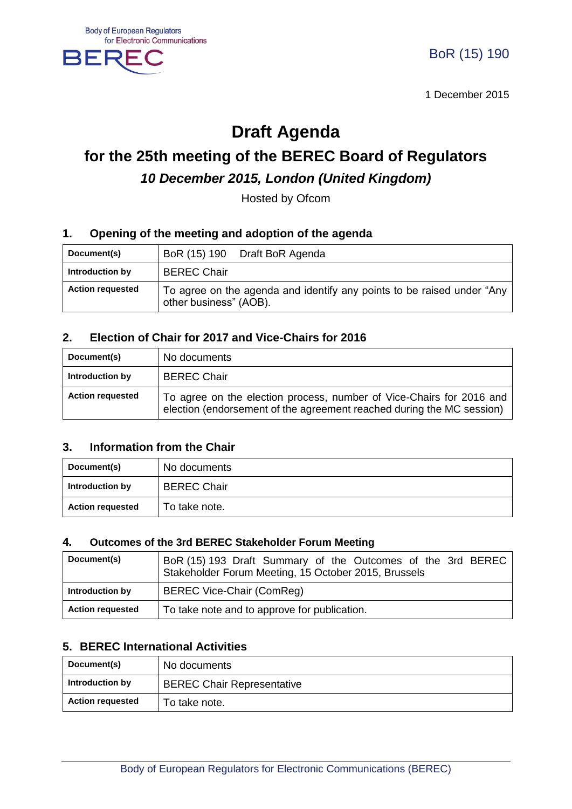

1 December 2015

## **Draft Agenda**

# **for the 25th meeting of the BEREC Board of Regulators** *10 December 2015, London (United Kingdom)*

Hosted by Ofcom

#### **1. Opening of the meeting and adoption of the agenda**

| Document(s)             | BoR (15) 190 Draft BoR Agenda                                                                    |
|-------------------------|--------------------------------------------------------------------------------------------------|
| Introduction by         | <b>BEREC Chair</b>                                                                               |
| <b>Action requested</b> | To agree on the agenda and identify any points to be raised under "Any<br>other business" (AOB). |

#### **2. Election of Chair for 2017 and Vice-Chairs for 2016**

| Document(s)             | No documents                                                                                                                                  |
|-------------------------|-----------------------------------------------------------------------------------------------------------------------------------------------|
| Introduction by         | <b>BEREC Chair</b>                                                                                                                            |
| <b>Action requested</b> | To agree on the election process, number of Vice-Chairs for 2016 and<br>election (endorsement of the agreement reached during the MC session) |

#### **3. Information from the Chair**

| Document(s)             | No documents       |
|-------------------------|--------------------|
| Introduction by         | <b>BEREC Chair</b> |
| <b>Action requested</b> | To take note.      |

#### **4. Outcomes of the 3rd BEREC Stakeholder Forum Meeting**

| Document(s)             | BoR (15) 193 Draft Summary of the Outcomes of the 3rd BEREC<br>Stakeholder Forum Meeting, 15 October 2015, Brussels |
|-------------------------|---------------------------------------------------------------------------------------------------------------------|
| Introduction by         | BEREC Vice-Chair (ComReg)                                                                                           |
| <b>Action requested</b> | To take note and to approve for publication.                                                                        |

#### **5. BEREC International Activities**

| Document(s)             | No documents                      |
|-------------------------|-----------------------------------|
| Introduction by         | <b>BEREC Chair Representative</b> |
| <b>Action requested</b> | To take note.                     |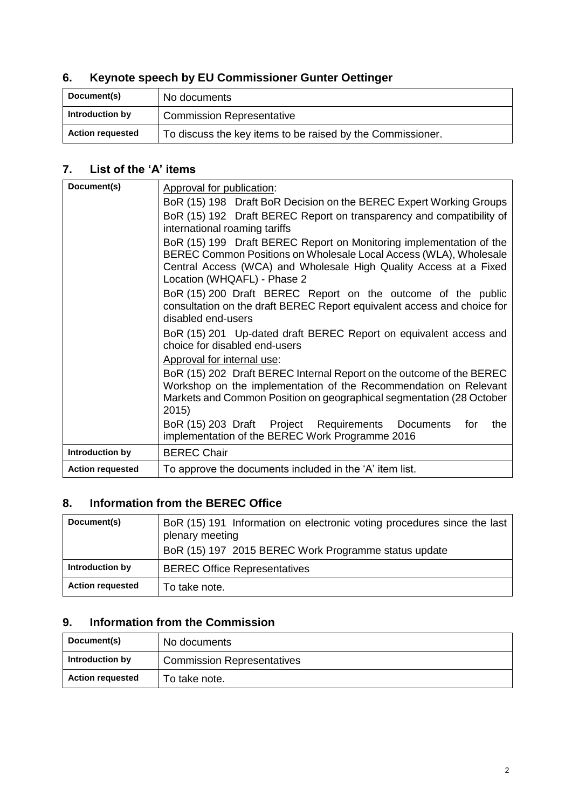## **6. Keynote speech by EU Commissioner Gunter Oettinger**

| Document(s)             | No documents                                               |
|-------------------------|------------------------------------------------------------|
| Introduction by         | <b>Commission Representative</b>                           |
| <b>Action requested</b> | To discuss the key items to be raised by the Commissioner. |

#### **7. List of the 'A' items**

| Document(s)             | Approval for publication:                                                                                                                                                                                                                    |
|-------------------------|----------------------------------------------------------------------------------------------------------------------------------------------------------------------------------------------------------------------------------------------|
|                         | BoR (15) 198 Draft BoR Decision on the BEREC Expert Working Groups                                                                                                                                                                           |
|                         | BoR (15) 192 Draft BEREC Report on transparency and compatibility of<br>international roaming tariffs                                                                                                                                        |
|                         | BoR (15) 199 Draft BEREC Report on Monitoring implementation of the<br>BEREC Common Positions on Wholesale Local Access (WLA), Wholesale<br>Central Access (WCA) and Wholesale High Quality Access at a Fixed<br>Location (WHQAFL) - Phase 2 |
|                         | BoR (15) 200 Draft BEREC Report on the outcome of the public<br>consultation on the draft BEREC Report equivalent access and choice for<br>disabled end-users                                                                                |
|                         | BoR (15) 201 Up-dated draft BEREC Report on equivalent access and<br>choice for disabled end-users                                                                                                                                           |
|                         | Approval for internal use:                                                                                                                                                                                                                   |
|                         | BoR (15) 202 Draft BEREC Internal Report on the outcome of the BEREC<br>Workshop on the implementation of the Recommendation on Relevant<br>Markets and Common Position on geographical segmentation (28 October<br>2015)                    |
|                         | BoR (15) 203 Draft Project Requirements Documents<br>the<br>for<br>implementation of the BEREC Work Programme 2016                                                                                                                           |
| Introduction by         | <b>BEREC Chair</b>                                                                                                                                                                                                                           |
| <b>Action requested</b> | To approve the documents included in the 'A' item list.                                                                                                                                                                                      |

## **8. Information from the BEREC Office**

| Document(s)             | BoR (15) 191 Information on electronic voting procedures since the last<br>plenary meeting<br>BoR (15) 197 2015 BEREC Work Programme status update |
|-------------------------|----------------------------------------------------------------------------------------------------------------------------------------------------|
| Introduction by         | <b>BEREC Office Representatives</b>                                                                                                                |
| <b>Action requested</b> | To take note.                                                                                                                                      |

## **9. Information from the Commission**

| Document(s)             | No documents                      |
|-------------------------|-----------------------------------|
| Introduction by         | <b>Commission Representatives</b> |
| <b>Action requested</b> | To take note.                     |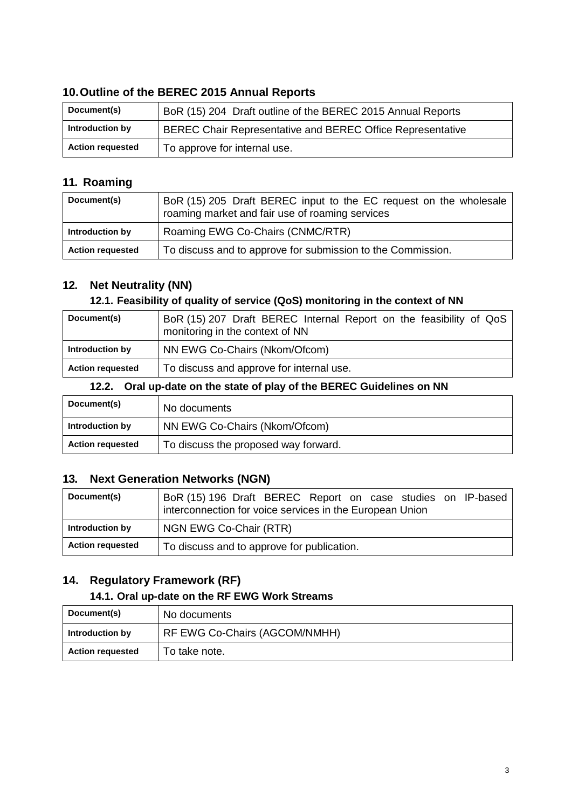## **10.Outline of the BEREC 2015 Annual Reports**

| Document(s)             | BoR (15) 204 Draft outline of the BEREC 2015 Annual Reports |
|-------------------------|-------------------------------------------------------------|
| Introduction by         | BEREC Chair Representative and BEREC Office Representative  |
| <b>Action requested</b> | To approve for internal use.                                |

#### **11. Roaming**

| Document(s)             | BoR (15) 205 Draft BEREC input to the EC request on the wholesale<br>roaming market and fair use of roaming services |
|-------------------------|----------------------------------------------------------------------------------------------------------------------|
| Introduction by         | Roaming EWG Co-Chairs (CNMC/RTR)                                                                                     |
| <b>Action requested</b> | To discuss and to approve for submission to the Commission.                                                          |

## **12. Net Neutrality (NN)**

#### **12.1. Feasibility of quality of service (QoS) monitoring in the context of NN**

| Document(s)             | BoR (15) 207 Draft BEREC Internal Report on the feasibility of QoS<br>monitoring in the context of NN |
|-------------------------|-------------------------------------------------------------------------------------------------------|
| Introduction by         | NN EWG Co-Chairs (Nkom/Ofcom)                                                                         |
| <b>Action requested</b> | To discuss and approve for internal use.                                                              |

#### **12.2. Oral up-date on the state of play of the BEREC Guidelines on NN**

| Document(s)             | No documents                         |
|-------------------------|--------------------------------------|
| Introduction by         | NN EWG Co-Chairs (Nkom/Ofcom)        |
| <b>Action requested</b> | To discuss the proposed way forward. |

#### **13. Next Generation Networks (NGN)**

| Document(s)             | BoR (15) 196 Draft BEREC Report on case studies on IP-based<br>interconnection for voice services in the European Union |
|-------------------------|-------------------------------------------------------------------------------------------------------------------------|
| Introduction by         | NGN EWG Co-Chair (RTR)                                                                                                  |
| <b>Action requested</b> | To discuss and to approve for publication.                                                                              |

## **14. Regulatory Framework (RF)**

## **14.1. Oral up-date on the RF EWG Work Streams**

| Document(s)             | No documents                  |
|-------------------------|-------------------------------|
| Introduction by         | RF EWG Co-Chairs (AGCOM/NMHH) |
| <b>Action requested</b> | To take note.                 |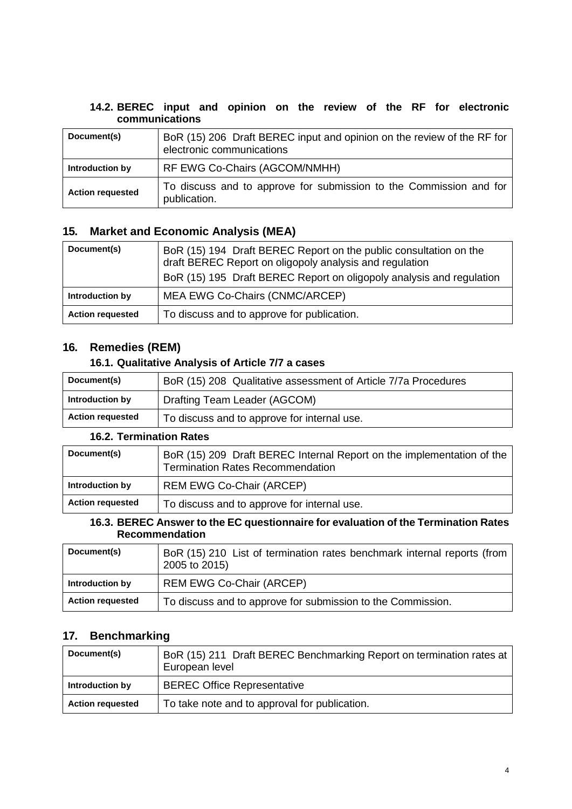| 14.2. BEREC input and opinion on the review of the RF for electronic |  |  |  |  |  |  |
|----------------------------------------------------------------------|--|--|--|--|--|--|
| communications                                                       |  |  |  |  |  |  |

| Document(s)             | BoR (15) 206 Draft BEREC input and opinion on the review of the RF for<br>electronic communications |
|-------------------------|-----------------------------------------------------------------------------------------------------|
| Introduction by         | RF EWG Co-Chairs (AGCOM/NMHH)                                                                       |
| <b>Action requested</b> | To discuss and to approve for submission to the Commission and for<br>publication.                  |

## **15. Market and Economic Analysis (MEA)**

| Document(s)             | BoR (15) 194 Draft BEREC Report on the public consultation on the<br>draft BEREC Report on oligopoly analysis and regulation<br>BoR (15) 195 Draft BEREC Report on oligopoly analysis and regulation |
|-------------------------|------------------------------------------------------------------------------------------------------------------------------------------------------------------------------------------------------|
| Introduction by         | MEA EWG Co-Chairs (CNMC/ARCEP)                                                                                                                                                                       |
| <b>Action requested</b> | To discuss and to approve for publication.                                                                                                                                                           |

## **16. Remedies (REM)**

#### **16.1. Qualitative Analysis of Article 7/7 a cases**

| Document(s)             | BoR (15) 208 Qualitative assessment of Article 7/7a Procedures |
|-------------------------|----------------------------------------------------------------|
| Introduction by         | Drafting Team Leader (AGCOM)                                   |
| <b>Action requested</b> | To discuss and to approve for internal use.                    |

## **16.2. Termination Rates**

| Document(s)             | BoR (15) 209 Draft BEREC Internal Report on the implementation of the<br><b>Termination Rates Recommendation</b> |
|-------------------------|------------------------------------------------------------------------------------------------------------------|
| Introduction by         | <b>REM EWG Co-Chair (ARCEP)</b>                                                                                  |
| <b>Action requested</b> | To discuss and to approve for internal use.                                                                      |

#### **16.3. BEREC Answer to the EC questionnaire for evaluation of the Termination Rates Recommendation**

| Document(s)             | BoR (15) 210 List of termination rates benchmark internal reports (from<br>2005 to 2015) |
|-------------------------|------------------------------------------------------------------------------------------|
| Introduction by         | <b>REM EWG Co-Chair (ARCEP)</b>                                                          |
| <b>Action requested</b> | To discuss and to approve for submission to the Commission.                              |

## **17. Benchmarking**

| Document(s)             | BoR (15) 211 Draft BEREC Benchmarking Report on termination rates at<br>European level |
|-------------------------|----------------------------------------------------------------------------------------|
| Introduction by         | <b>BEREC Office Representative</b>                                                     |
| <b>Action requested</b> | To take note and to approval for publication.                                          |